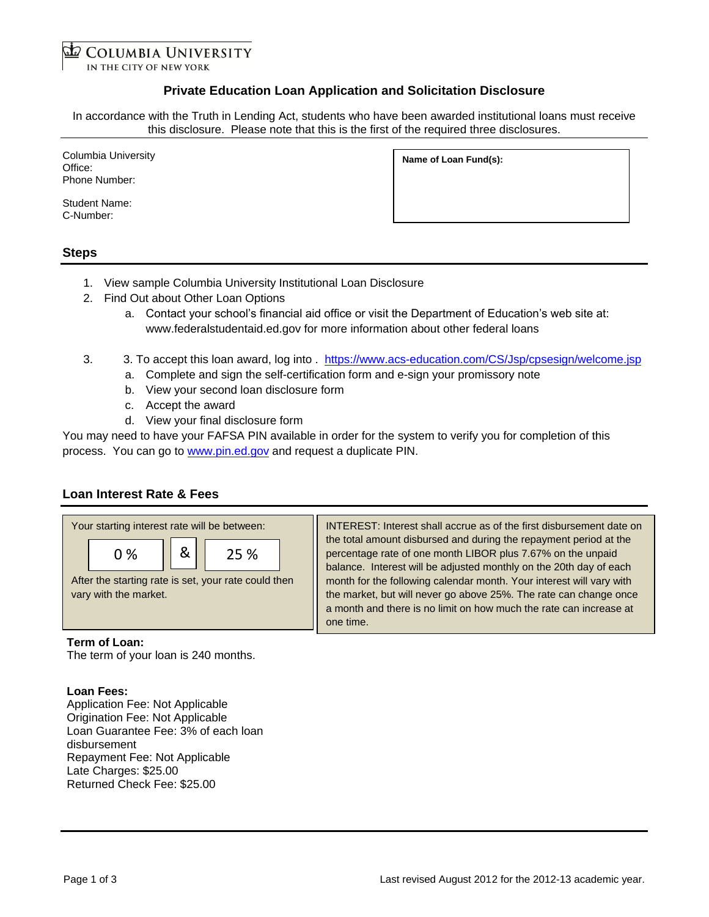**COLUMBIA UNIVERSITY** 

IN THE CITY OF NEW YORK

## **Private Education Loan Application and Solicitation Disclosure**

In accordance with the Truth in Lending Act, students who have been awarded institutional loans must receive this disclosure. Please note that this is the first of the required three disclosures.

Columbia University Office: Phone Number:

Student Name: C-Number:

# **Name of Loan Fund(s):**

#### **Steps**

- 1. View sample Columbia University Institutional Loan Disclosure
- 2. Find Out about Other Loan Options
	- a. Contact your school's financial aid office or visit the Department of Education's web site at: www.federalstudentaid.ed.gov for more information about other federal loans
- 3. 3. To accept this loan award, log into . <https://www.acs-education.com/CS/Jsp/cpsesign/welcome.jsp>
	- a. Complete and sign the self-certification form and e-sign your promissory note
	- b. View your second loan disclosure form
	- c. Accept the award
	- d. View your final disclosure form

You may need to have your FAFSA PIN available in order for the system to verify you for completion of this process. You can go to [www.pin.ed.gov](http://www.pin.ed.gov/) and request a duplicate PIN.

## **Loan Interest Rate & Fees**



INTEREST: Interest shall accrue as of the first disbursement date on the total amount disbursed and during the repayment period at the percentage rate of one month LIBOR plus 7.67% on the unpaid balance. Interest will be adjusted monthly on the 20th day of each month for the following calendar month. Your interest will vary with the market, but will never go above 25%. The rate can change once a month and there is no limit on how much the rate can increase at one time.

#### **Term of Loan:**

The term of your loan is 240 months.

#### **Loan Fees:**

Application Fee: Not Applicable Origination Fee: Not Applicable Loan Guarantee Fee: 3% of each loan disbursement Repayment Fee: Not Applicable Late Charges: \$25.00 Returned Check Fee: \$25.00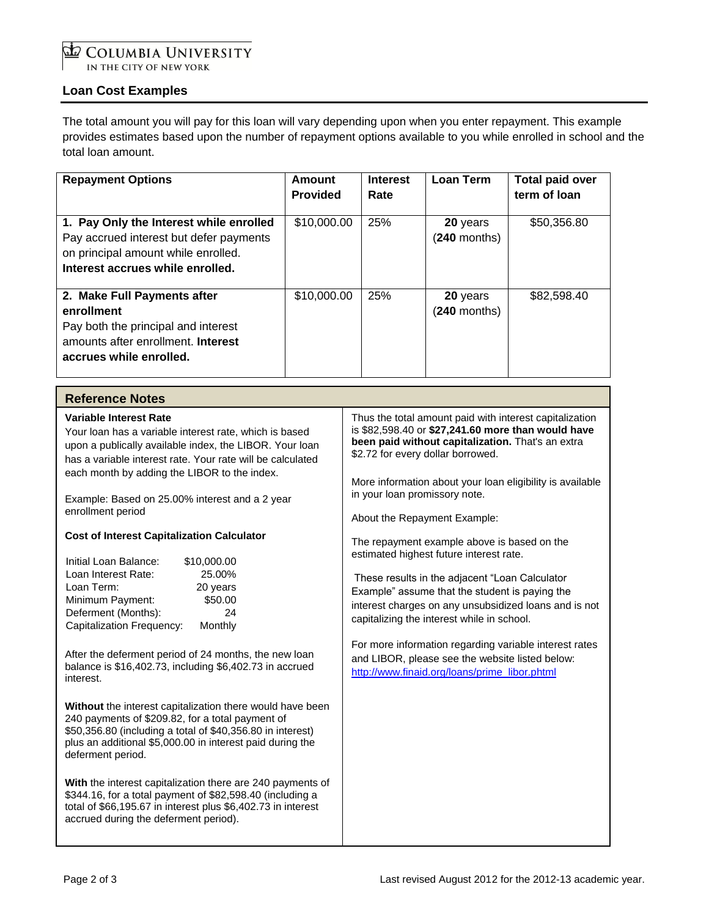# COLUMBIA UNIVERSITY IN THE CITY OF NEW YORK

# **Loan Cost Examples**

The total amount you will pay for this loan will vary depending upon when you enter repayment. This example provides estimates based upon the number of repayment options available to you while enrolled in school and the total loan amount.

| <b>Repayment Options</b>                                                                                                                                                                                                                                                                                                                                                                                                                                                                                                                                                                                                                                                                                                                                                                                                                              | <b>Amount</b><br><b>Provided</b> | <b>Interest</b><br>Rate                                                                                                                                                                                                                                                                                                                                                                                                                                                                                                                                                                                                                                                                                                                                                                                  | <b>Loan Term</b>           | <b>Total paid over</b><br>term of loan |  |
|-------------------------------------------------------------------------------------------------------------------------------------------------------------------------------------------------------------------------------------------------------------------------------------------------------------------------------------------------------------------------------------------------------------------------------------------------------------------------------------------------------------------------------------------------------------------------------------------------------------------------------------------------------------------------------------------------------------------------------------------------------------------------------------------------------------------------------------------------------|----------------------------------|----------------------------------------------------------------------------------------------------------------------------------------------------------------------------------------------------------------------------------------------------------------------------------------------------------------------------------------------------------------------------------------------------------------------------------------------------------------------------------------------------------------------------------------------------------------------------------------------------------------------------------------------------------------------------------------------------------------------------------------------------------------------------------------------------------|----------------------------|----------------------------------------|--|
| 1. Pay Only the Interest while enrolled<br>Pay accrued interest but defer payments<br>on principal amount while enrolled.<br>Interest accrues while enrolled.                                                                                                                                                                                                                                                                                                                                                                                                                                                                                                                                                                                                                                                                                         | \$10,000.00                      | 25%                                                                                                                                                                                                                                                                                                                                                                                                                                                                                                                                                                                                                                                                                                                                                                                                      | 20 years<br>$(240$ months) | \$50,356.80                            |  |
| 2. Make Full Payments after<br>enrollment<br>Pay both the principal and interest<br>amounts after enrollment. Interest<br>accrues while enrolled.                                                                                                                                                                                                                                                                                                                                                                                                                                                                                                                                                                                                                                                                                                     | \$10,000.00                      | 25%                                                                                                                                                                                                                                                                                                                                                                                                                                                                                                                                                                                                                                                                                                                                                                                                      | 20 years<br>$(240$ months) | \$82,598.40                            |  |
| <b>Reference Notes</b>                                                                                                                                                                                                                                                                                                                                                                                                                                                                                                                                                                                                                                                                                                                                                                                                                                |                                  |                                                                                                                                                                                                                                                                                                                                                                                                                                                                                                                                                                                                                                                                                                                                                                                                          |                            |                                        |  |
| <b>Variable Interest Rate</b><br>Your loan has a variable interest rate, which is based<br>upon a publically available index, the LIBOR. Your loan<br>has a variable interest rate. Your rate will be calculated<br>each month by adding the LIBOR to the index.<br>Example: Based on 25.00% interest and a 2 year<br>enrollment period<br><b>Cost of Interest Capitalization Calculator</b><br>Initial Loan Balance:<br>\$10,000.00<br>25.00%<br>Loan Interest Rate:<br>Loan Term:<br>20 years<br>\$50.00<br>Minimum Payment:<br>Deferment (Months):<br>24<br>Capitalization Frequency:<br>Monthly<br>After the deferment period of 24 months, the new loan<br>balance is \$16,402.73, including \$6,402.73 in accrued<br>interest.<br>Without the interest capitalization there would have been<br>240 payments of \$209.82, for a total payment of |                                  | Thus the total amount paid with interest capitalization<br>is \$82,598.40 or \$27,241.60 more than would have<br>been paid without capitalization. That's an extra<br>\$2.72 for every dollar borrowed.<br>More information about your loan eligibility is available<br>in your loan promissory note.<br>About the Repayment Example:<br>The repayment example above is based on the<br>estimated highest future interest rate.<br>These results in the adjacent "Loan Calculator<br>Example" assume that the student is paying the<br>interest charges on any unsubsidized loans and is not<br>capitalizing the interest while in school.<br>For more information regarding variable interest rates<br>and LIBOR, please see the website listed below:<br>http://www.finaid.org/loans/prime_libor.phtml |                            |                                        |  |
| \$50,356.80 (including a total of \$40,356.80 in interest)<br>plus an additional \$5,000.00 in interest paid during the<br>deferment period.<br>With the interest capitalization there are 240 payments of<br>\$344.16, for a total payment of \$82,598.40 (including a<br>total of \$66,195.67 in interest plus \$6,402.73 in interest<br>accrued during the deferment period).                                                                                                                                                                                                                                                                                                                                                                                                                                                                      |                                  |                                                                                                                                                                                                                                                                                                                                                                                                                                                                                                                                                                                                                                                                                                                                                                                                          |                            |                                        |  |